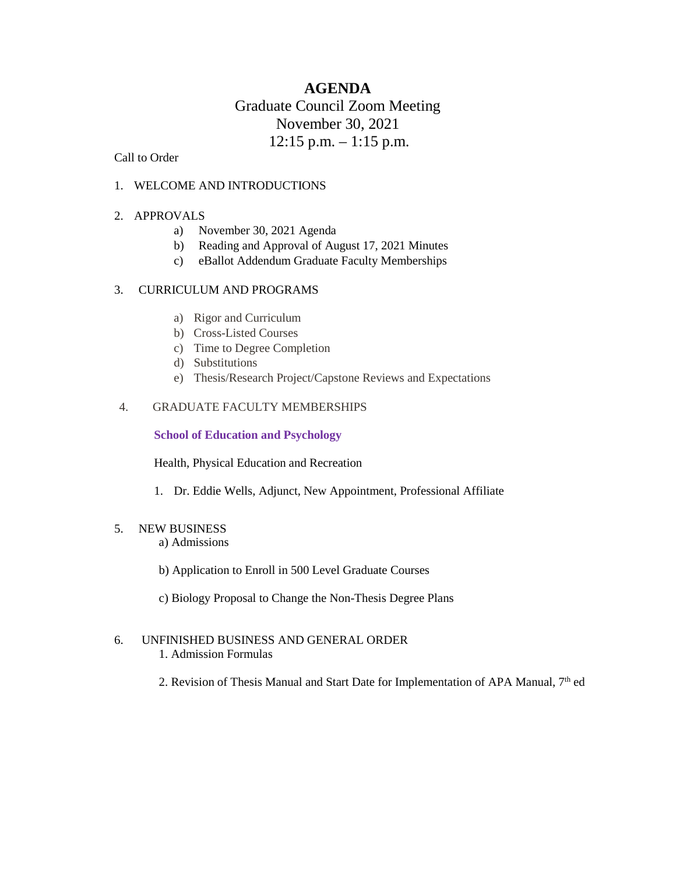# **AGENDA** Graduate Council Zoom Meeting November 30, 2021  $12:15$  p.m.  $-1:15$  p.m.

Call to Order

## 1. WELCOME AND INTRODUCTIONS

## 2. APPROVALS

- a) November 30, 2021 Agenda
- b) Reading and Approval of August 17, 2021 Minutes
- c) eBallot Addendum Graduate Faculty Memberships

## 3. CURRICULUM AND PROGRAMS

- a) Rigor and Curriculum
- b) Cross-Listed Courses
- c) Time to Degree Completion
- d) Substitutions
- e) Thesis/Research Project/Capstone Reviews and Expectations

## 4. GRADUATE FACULTY MEMBERSHIPS

#### **School of Education and Psychology**

Health, Physical Education and Recreation

1. Dr. Eddie Wells, Adjunct, New Appointment, Professional Affiliate

## 5. NEW BUSINESS

a) Admissions

- b) Application to Enroll in 500 Level Graduate Courses
- c) Biology Proposal to Change the Non-Thesis Degree Plans

#### 6. UNFINISHED BUSINESS AND GENERAL ORDER 1. Admission Formulas

2. Revision of Thesis Manual and Start Date for Implementation of APA Manual, 7<sup>th</sup> ed